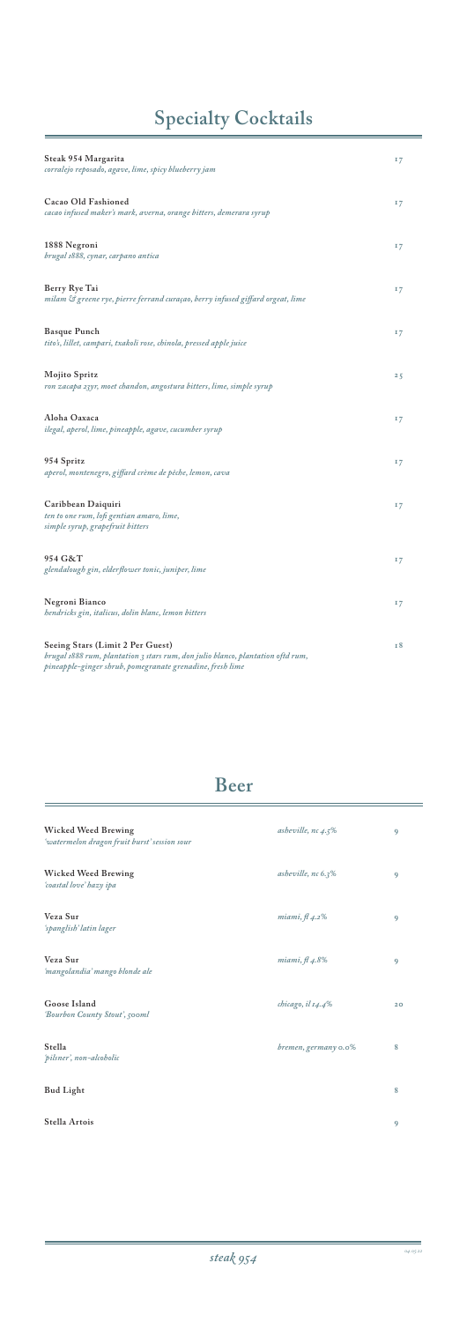| Steak 954 Margarita<br>corralejo reposado, agave, lime, spicy blueberry jam                                                                                                      | 17 |
|----------------------------------------------------------------------------------------------------------------------------------------------------------------------------------|----|
| Cacao Old Fashioned<br>cacao infused maker's mark, averna, orange bitters, demerara syrup                                                                                        | 17 |
| 1888 Negroni<br>brugal 1888, cynar, carpano antica                                                                                                                               | 17 |
| Berry Rye Tai<br>milam & greene rye, pierre ferrand curaçao, berry infused giffard orgeat, lime                                                                                  | 17 |
| <b>Basque Punch</b><br>tito's, lillet, campari, txakoli rose, chinola, pressed apple juice                                                                                       | 17 |
| Mojito Spritz<br>ron zacapa 23yr, moet chandon, angostura bitters, lime, simple syrup                                                                                            | 25 |
| Aloha Oaxaca<br>ilegal, aperol, lime, pineapple, agave, cucumber syrup                                                                                                           | 17 |
| 954 Spritz<br>aperol, montenegro, giffard crème de pêche, lemon, cava                                                                                                            | 17 |
| Caribbean Daiquiri<br>ten to one rum, lofi gentian amaro, lime,<br>simple syrup, grapefruit bitters                                                                              | 17 |
| 954 G&T<br>glendalough gin, elderflower tonic, juniper, lime                                                                                                                     | 17 |
| Negroni Bianco<br>hendricks gin, italicus, dolin blanc, lemon bitters                                                                                                            | 17 |
| Seeing Stars (Limit 2 Per Guest)<br>brugal 1888 rum, plantation 3 stars rum, don julio blanco, plantation oftd rum,<br>pineapple-ginger shrub, pomegranate grenadine, fresh lime | 18 |

# **Specialty Cocktails**

## **Beer**

| Wicked Weed Brewing<br>'watermelon dragon fruit burst' session sour | asheville, $nc$ 4.5%   | 9 |
|---------------------------------------------------------------------|------------------------|---|
| Wicked Weed Brewing<br>'coastal love' hazy ipa                      | asheville, $nc\ 6.3\%$ | 9 |
| Veza Sur<br>'spanglish' latin lager                                 | miami, $\beta$ 4.2%    | 9 |
| Veza Sur                                                            | miami, $\beta$ 4.8%    | 9 |

*'mangolandia' mango blonde ale*

| Goose Island<br>'Bourbon County Stout', 500ml | chicago, il 14.4%    | 20 |
|-----------------------------------------------|----------------------|----|
| Stella<br>'pilsner', non-alcoholic            | bremen, germany 0.0% | 8  |
| <b>Bud Light</b>                              |                      | 8  |
| Stella Artois                                 |                      | 9  |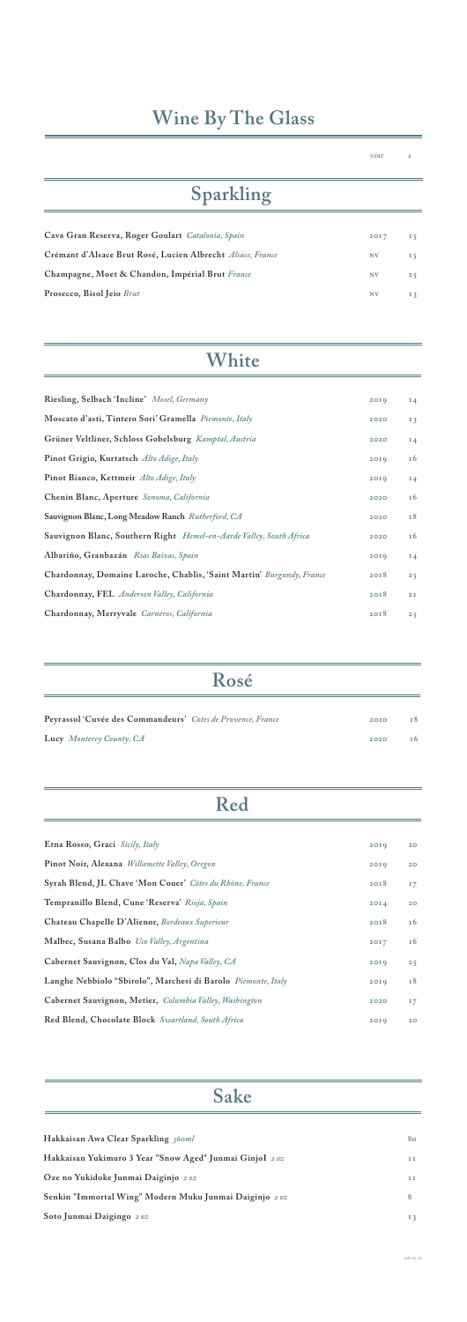| Riesling, Selbach 'Incline' Mosel, Germany                                 | 2019 | $I_4$          |
|----------------------------------------------------------------------------|------|----------------|
| Moscato d'asti, Tintero Sori' Gramella Piemonte, Italy                     | 2020 | I <sub>3</sub> |
| Grüner Veltliner, Schloss Gobelsburg Kamptal, Austria                      | 2020 | $I_4$          |
| Pinot Grigio, Kurtatsch Alto Adige, Italy                                  | 2019 | 16             |
| Pinot Bianco, Kettmeir Alto Adige, Italy                                   | 20I9 | $I_4$          |
| Chenin Blanc, Aperture Sonoma, California                                  | 2020 | 16             |
| Sauvignon Blanc, Long Meadow Ranch Rutherford, CA                          | 2020 | <b>18</b>      |
| <b>Sauvignon Blanc, Southern Right</b> Hemel-en-Aarde Valley, South Africa | 2020 | <b>16</b>      |
| Albariño, Granbazán Rias Baixas, Spain                                     | 20I9 | $I_4$          |
| Chardonnay, Domaine Laroche, Chablis, 'Saint Martin' Burgundy, France      | 2018 | 25             |
| Chardonnay, FEL Anderson Valley, California                                | 2018 | 2I             |
| Chardonnay, Merryvale Carneros, California                                 | 2018 | 25             |
|                                                                            |      |                |

## **White**

| Etna Rosso, Graci Sicily, Italy                          | 2019 | 20 <sub>o</sub> |
|----------------------------------------------------------|------|-----------------|
| Pinot Noir, Alexana Willamette Valley, Oregon            | 20I9 | 20 <sub>o</sub> |
| Syrah Blend, JL Chave 'Mon Couer' Côtes du Rhône, France | 2018 | 17              |
| Tempranillo Blend, Cune 'Reserva' Rioja, Spain           | 20I4 | 20 <sup>°</sup> |
| Chateau Chapelle D'Alienor, Bordeaux Superieur           | 20I8 | 16              |
| Malbec, Susana Balbo Uco Valley, Argentina               | 2017 | 16              |
| Cabernet Sauvignon, Clos du Val, Napa Valley, CA         | 2019 | 25              |
|                                                          |      |                 |

| Langhe Nebbiolo "Sbirolo", Marchesi di Barolo Piemonte, Italy          | 2019 | 18 |
|------------------------------------------------------------------------|------|----|
| Cabernet Sauvignon, Metier, <i>Columbia Valley</i> , <i>Washington</i> | 2020 | 17 |
| Red Blend, Chocolate Block Swartland, South Africa                     | 2019 | 20 |

## **Red**

| Rosé                                                        |      |     |
|-------------------------------------------------------------|------|-----|
| Peyrassol 'Cuvée des Commandeurs' Cotes de Provence, France | 2020 | T 8 |
| Lucy Monterey County, CA                                    | 2020 | т 6 |

# **Wine By The Glass**

 $vint$  \$

| Sparkling                                                  |           |                |
|------------------------------------------------------------|-----------|----------------|
| Cava Gran Reserva, Roger Goulart Catalonia, Spain          | 2017      | 15             |
| Crémant d'Alsace Brut Rosé, Lucien Albrecht Alsace, France | <b>NV</b> | I <sub>5</sub> |
| Champagne, Moet & Chandon, Impérial Brut France            | <b>NV</b> | 25             |
| Prosecco, Bisol Jeio Brut                                  | <b>NV</b> | I <sub>3</sub> |

## **Sake**

| Hakkaisan Awa Clear Sparkling 360ml                     | 80  |
|---------------------------------------------------------|-----|
| Hakkaisan Yukimuro 3 Year "Snow Aged" Junmai GinjoI 20% | 11  |
| Oze no Yukidoke Junmai Daiginjo 20%                     | 1 I |
| Senkin "Immortal Wing" Modern Muku Junmai Daiginjo 202  | 8   |
| Soto Junmai Daigingo 20%                                | 13  |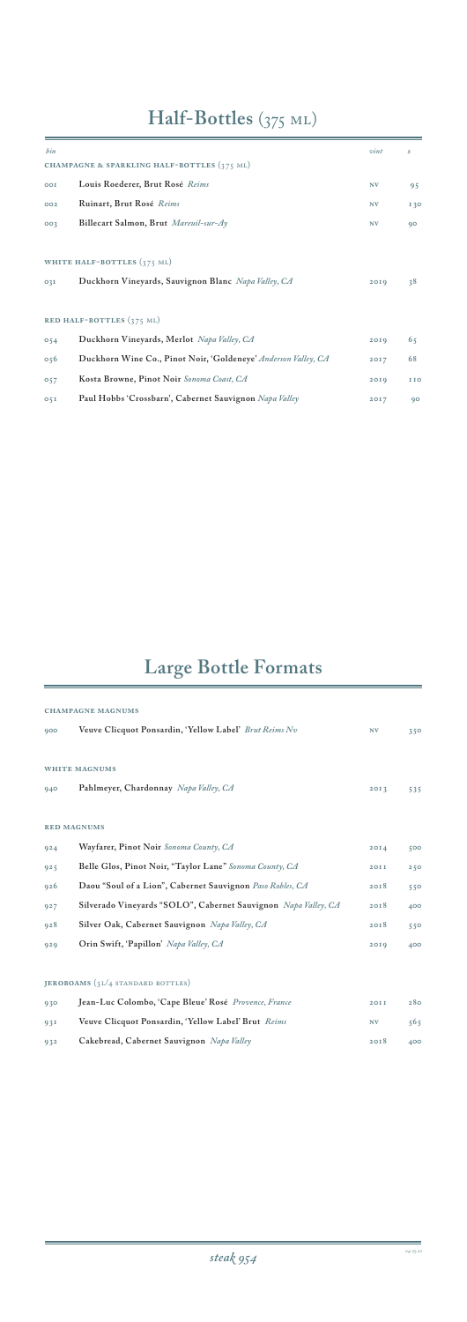# **Half-Bottles** (375 ml)

# **Large Bottle Formats**

| bin             |                                                                | vint      | s   |
|-----------------|----------------------------------------------------------------|-----------|-----|
|                 | CHAMPAGNE & SPARKLING HALF-BOTTLES (375 ML)                    |           |     |
| OOI             | Louis Roederer, Brut Rosé Reims                                | <b>NV</b> | 95  |
| 002             | Ruinart, Brut Rosé Reims                                       | <b>NV</b> | 130 |
| 003             | Billecart Salmon, Brut Mareuil-sur-Ay                          | <b>NV</b> | 90  |
|                 |                                                                |           |     |
|                 | WHITE HALF-BOTTLES (375 ML)                                    |           |     |
| O <sub>3I</sub> | Duckhorn Vineyards, Sauvignon Blanc Napa Valley, CA            | 2019      | 38  |
|                 |                                                                |           |     |
|                 | RED HALF-BOTTLES $(375 \text{ ML})$                            |           |     |
| 054             | Duckhorn Vineyards, Merlot Napa Valley, CA                     | 2019      | 65  |
| 056             | Duckhorn Wine Co., Pinot Noir, 'Goldeneye' Anderson Valley, CA | 2017      | 68  |
| 057             | Kosta Browne, Pinot Noir Sonoma Coast, CA                      | 20I9      | 110 |
| 05I             | Paul Hobbs 'Crossbarn', Cabernet Sauvignon Napa Valley         | 2017      | 90  |

|     | <b>CHAMPAGNE MAGNUMS</b>                                       |             |     |
|-----|----------------------------------------------------------------|-------------|-----|
| 900 | Veuve Clicquot Ponsardin, 'Yellow Label' Brut Reims Nv         | <b>NV</b>   | 350 |
|     | <b>WHITE MAGNUMS</b>                                           |             |     |
| 940 | Pahlmeyer, Chardonnay Napa Valley, CA                          | 20I3        | 535 |
|     | <b>RED MAGNUMS</b>                                             |             |     |
| 924 | Wayfarer, Pinot Noir Sonoma County, CA                         | 20I4        | 500 |
| 925 | Belle Glos, Pinot Noir, "Taylor Lane" Sonoma County, CA        | <b>20II</b> | 250 |
| 926 | Daou "Soul of a Lion", Cabernet Sauvignon Paso Robles, CA      | 2018        | 550 |
| 927 | Silverado Vineyards "SOLO", Cabernet Sauvignon Napa Valley, CA | 2018        | 400 |
| 928 | Silver Oak, Cabernet Sauvignon Napa Valley, CA                 | 2018        | 550 |
| 929 | Orin Swift, 'Papillon' Napa Valley, CA                         | 20I9        | 400 |

#### **Jeroboams** (3L/4 standard bottles)

| 930 | Jean-Luc Colombo, 'Cape Bleue' Rosé <i>Provence</i> , France | <b>20TT</b> | 280 |
|-----|--------------------------------------------------------------|-------------|-----|
| 93I | Veuve Clicquot Ponsardin, 'Yellow Label' Brut Reims          | <b>NV</b>   | 565 |
| 932 | Cakebread, Cabernet Sauvignon Napa Valley                    | 2018        | 400 |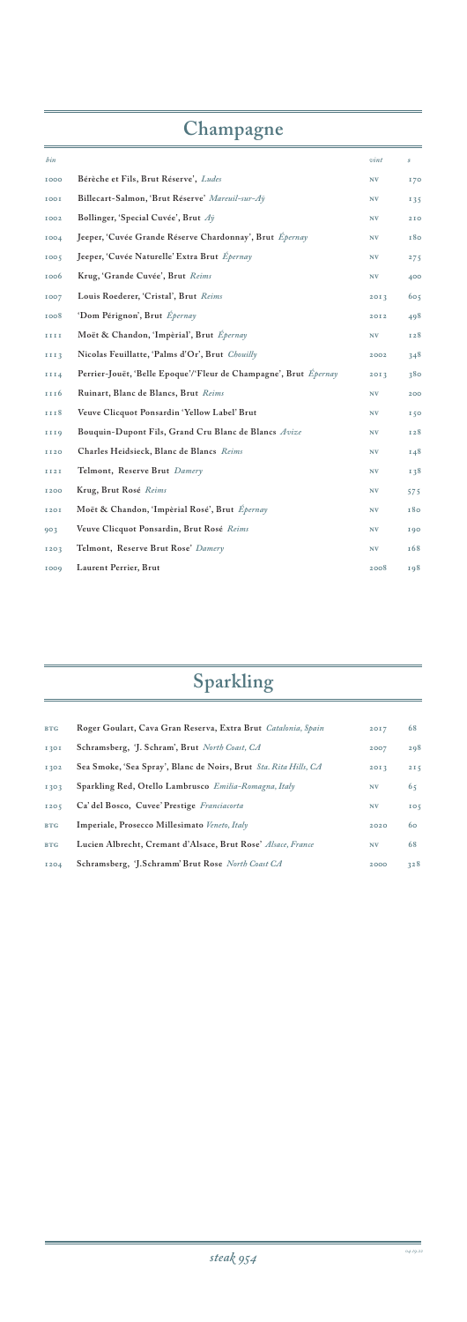# **Champagne**

| bin              |                                                                         | vint | $\dot{\mathcal{S}}$ |
|------------------|-------------------------------------------------------------------------|------|---------------------|
| <b>IOOO</b>      | Bérèche et Fils, Brut Réserve', Ludes                                   | NV   | 170                 |
| <b>IOOI</b>      | Billecart-Salmon, 'Brut Réserve' Mareuil-sur-Ay                         | N V  | 135                 |
| <b>IOO2</b>      | Bollinger, 'Special Cuvée', Brut Ay                                     | N V  | 210                 |
| 1004             | Jeeper, 'Cuvée Grande Réserve Chardonnay', Brut Épernay                 | N V  | 180                 |
| 1005             | Jeeper, 'Cuvée Naturelle' Extra Brut Épernay                            | N V  | 275                 |
| 1006             | Krug, 'Grande Cuvée', Brut Reims                                        | N V  | 400                 |
| 1007             | Louis Roederer, 'Cristal', Brut Reims                                   | 2013 | 605                 |
| 1008             | 'Dom Pérignon', Brut Épernay                                            | 2012 | 498                 |
| IIII             | Moët & Chandon, 'Impèrial', Brut Épernay                                | N V  | 128                 |
| 1113             | Nicolas Feuillatte, 'Palms d'Or', Brut Chouilly                         | 2002 | 348                 |
| <b>III4</b>      | Perrier-Jouët, 'Belle Epoque'/'Fleur de Champagne', Brut <i>Épernay</i> | 2013 | 380                 |
| III <sub>6</sub> | Ruinart, Blanc de Blancs, Brut Reims                                    | N V  | 200                 |
| III8             | Veuve Clicquot Ponsardin 'Yellow Label' Brut                            | N V  | I <sub>50</sub>     |
| III9             | Bouquin-Dupont Fils, Grand Cru Blanc de Blancs Avize                    | N V  | 128                 |
| <b>II20</b>      | Charles Heidsieck, Blanc de Blancs Reims                                | N V  | 148                 |
| <b>II2I</b>      | Telmont, Reserve Brut Damery                                            | NV   | 138                 |
| <b>I200</b>      | Krug, Brut Rosé Reims                                                   | NV   | 575                 |
| <b>I20I</b>      | Moët & Chandon, 'Impèrial Rosé', Brut Épernay                           | N V  | 180                 |
| 903              | Veuve Clicquot Ponsardin, Brut Rosé Reims                               | N V  | 190                 |
| 1203             | Telmont, Reserve Brut Rose' Damery                                      | N V  | 168                 |
| 1009             | Laurent Perrier, Brut                                                   | 2008 | 198                 |

| <b>BTG</b>  | Roger Goulart, Cava Gran Reserva, Extra Brut Catalonia, Spain    | 2017      | 68              |
|-------------|------------------------------------------------------------------|-----------|-----------------|
| <b>I30I</b> | Schramsberg, 'J. Schram', Brut North Coast, CA                   | 2007      | 298             |
| I 302       | Sea Smoke, 'Sea Spray', Blanc de Noirs, Brut Sta. Rita Hills, CA | 20I3      | 215             |
| 1303        | Sparkling Red, Otello Lambrusco Emilia-Romagna, Italy            | N V       | 65              |
| 1205        | Ca' del Bosco, Cuvee' Prestige Franciacorta                      | <b>NV</b> | IO <sub>5</sub> |
| <b>BTG</b>  | Imperiale, Prosecco Millesimato Veneto, Italy                    | 2020      | 60              |
| <b>BTG</b>  | Lucien Albrecht, Cremant d'Alsace, Brut Rose' Alsace, France     | <b>NV</b> | 68              |
| <b>I204</b> | Schramsberg, 'J.Schramm' Brut Rose North Coast CA                | 2000      | 328             |

# **Sparkling**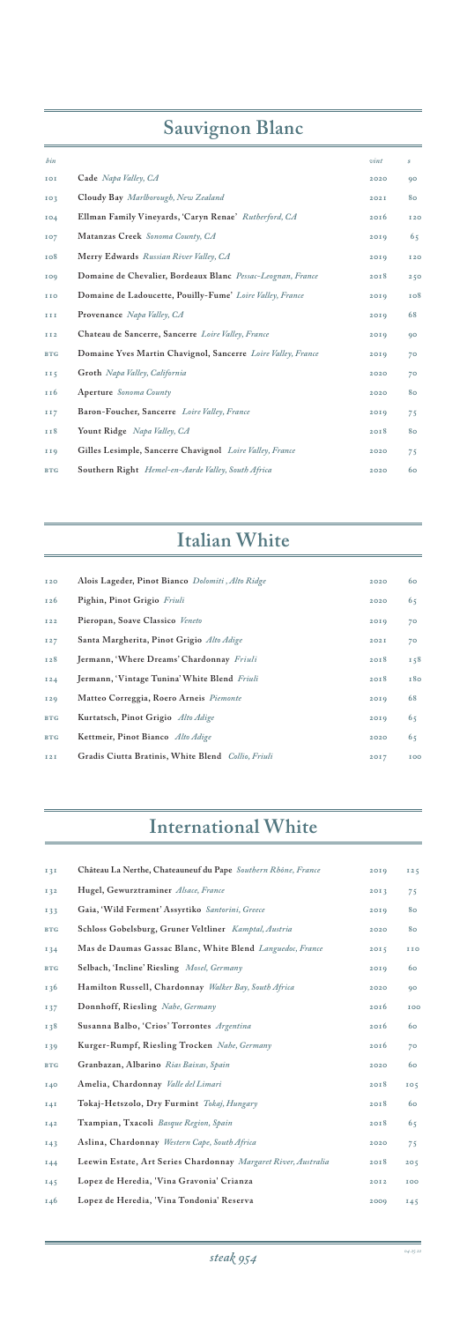| bin        |                                                              | vint | $\mathcal{S}% _{M_{1},M_{2}}^{\alpha,\beta}(\varepsilon)$ |
|------------|--------------------------------------------------------------|------|-----------------------------------------------------------|
| IOI        | Cade Napa Valley, CA                                         | 2020 | 90                                                        |
| IO3        | Cloudy Bay Marlborough, New Zealand                          | 202I | 80                                                        |
| <b>104</b> | Ellman Family Vineyards, 'Caryn Renae' Rutherford, CA        | 2016 | <b>I20</b>                                                |
| 107        | Matanzas Creek Sonoma County, CA                             | 2019 | 65                                                        |
| 108        | Merry Edwards Russian River Valley, CA                       | 2019 | <b>I20</b>                                                |
| 109        | Domaine de Chevalier, Bordeaux Blanc Pessac-Leognan, France  | 2018 | 250                                                       |
| <b>IIO</b> | Domaine de Ladoucette, Pouilly-Fume' Loire Valley, France    | 2019 | 108                                                       |
| III        | Provenance Napa Valley, CA                                   | 2019 | 68                                                        |
| II2        | Chateau de Sancerre, Sancerre Loire Valley, France           | 2019 | 90                                                        |
| <b>BTG</b> | Domaine Yves Martin Chavignol, Sancerre Loire Valley, France | 2019 | 70                                                        |
| II5        | Groth Napa Valley, California                                | 2020 | 70                                                        |
| 116        | Aperture Sonoma County                                       | 2020 | 80                                                        |
| <b>II7</b> | Baron-Foucher, Sancerre Loire Valley, France                 | 2019 | 75                                                        |
| II8        | Yount Ridge Napa Valley, CA                                  | 2018 | 80                                                        |
| <b>II9</b> | Gilles Lesimple, Sancerre Chavignol Loire Valley, France     | 2020 | 75                                                        |
| <b>BTG</b> | <b>Southern Right</b> Hemel-en-Aarde Valley, South Africa    | 2020 | 60                                                        |

| <b>I20</b> | Alois Lageder, Pinot Bianco Dolomiti, Alto Ridge   | 2020 | 60  |
|------------|----------------------------------------------------|------|-----|
| 126        | Pighin, Pinot Grigio Friuli                        | 2020 | 65  |
| <b>I22</b> | Pieropan, Soave Classico Veneto                    | 20I9 | 70  |
| I27        | Santa Margherita, Pinot Grigio Alto Adige          | 202I | 70  |
| 128        | Jermann, 'Where Dreams' Chardonnay Friuli          | 2018 | 158 |
| <b>I24</b> | Jermann, 'Vintage Tunina' White Blend Friuli       | 20I8 | 180 |
| <b>I29</b> | Matteo Correggia, Roero Arneis Piemonte            | 20I9 | 68  |
| <b>BTG</b> | Kurtatsch, Pinot Grigio Alto Adige                 | 20I9 | 65  |
| <b>BTG</b> | Kettmeir, Pinot Bianco Alto Adige                  | 2020 | 65  |
| <b>I2I</b> | Gradis Ciutta Bratinis, White Blend Collio, Friuli | 2017 | 100 |

## **Italian White**

## **International White**

| 131             | Château La Nerthe, Chateauneuf du Pape Southern Rhône, France  | 2019 | I25             |
|-----------------|----------------------------------------------------------------|------|-----------------|
| I32             | Hugel, Gewurztraminer Alsace, France                           | 20I3 | 75              |
| I33             | Gaia, 'Wild Ferment' Assyrtiko Santorini, Greece               | 2019 | 80              |
| <b>BTG</b>      | Schloss Gobelsburg, Gruner Veltliner Kamptal, Austria          | 2020 | 80              |
| $I\,34$         | Mas de Daumas Gassac Blanc, White Blend Languedoc, France      | 2015 | <b>IIO</b>      |
| <b>BTG</b>      | Selbach, 'Incline' Riesling Mosel, Germany                     | 2019 | 60              |
| 136             | Hamilton Russell, Chardonnay Walker Bay, South Africa          | 2020 | 90              |
| 137             | Donnhoff, Riesling Nahe, Germany                               | 2016 | 100             |
| 138             | Susanna Balbo, 'Crios' Torrontes Argentina                     | 2016 | 60              |
| I39             | Kurger-Rumpf, Riesling Trocken Nahe, Germany                   | 2016 | 70              |
| <b>BTG</b>      | Granbazan, Albarino Rias Baixas, Spain                         | 2020 | 60              |
| <b>140</b>      | Amelia, Chardonnay Valle del Limari                            | 2018 | IO <sub>5</sub> |
| I4I             | Tokaj-Hetszolo, Dry Furmint Tokaj, Hungary                     | 2018 | 60              |
| I42             | Txampian, Txacoli Basque Region, Spain                         | 2018 | 65              |
| I43             | Aslina, Chardonnay Western Cape, South Africa                  | 2020 | 75              |
| I44             | Leewin Estate, Art Series Chardonnay Margaret River, Australia | 2018 | 205             |
| 145             | Lopez de Heredia, 'Vina Gravonia' Crianza                      | 2012 | <b>IOO</b>      |
| I <sub>46</sub> | Lopez de Heredia, 'Vina Tondonia' Reserva                      | 2009 | 145             |

# **Sauvignon Blanc**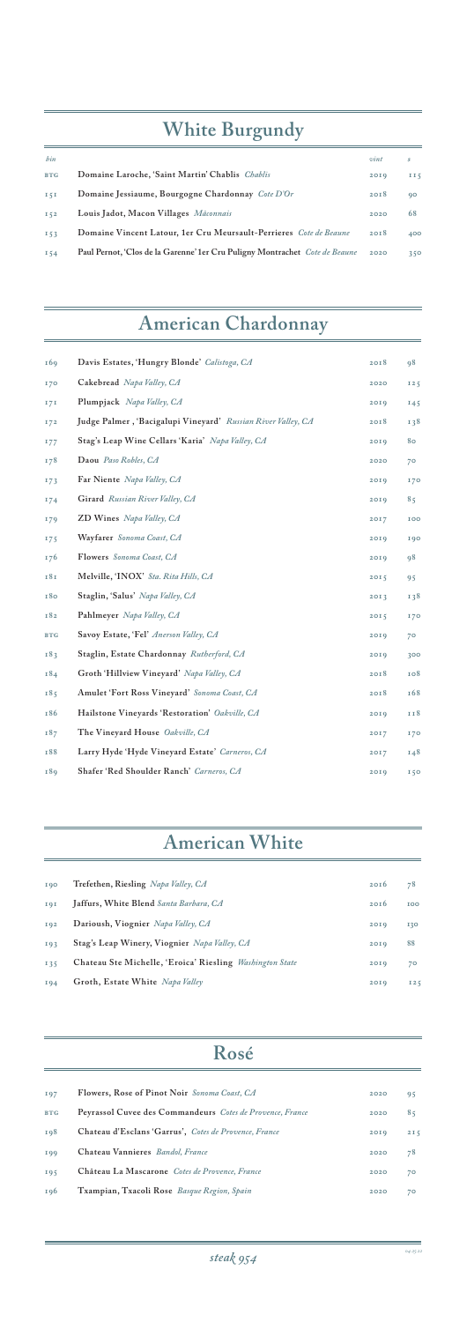

| <b>I</b> 90 | Trefethen, Riesling Napa Valley, CA                      | 20I6 | 78         |
|-------------|----------------------------------------------------------|------|------------|
| IQI         | Jaffurs, White Blend Santa Barbara, CA                   | 20I6 | <b>TOO</b> |
| IQ2         | Darioush, Viognier Napa Valley, CA                       | 20I9 | 130        |
| 193         | Stag's Leap Winery, Viognier Napa Valley, CA             | 20I9 | 88         |
| I35         | Chateau Ste Michelle, 'Eroica' Riesling Washington State | 2019 | 70         |

# **American White**

| 169        | Davis Estates, 'Hungry Blonde' Calistoga, CA                 | 2018 | 98              |
|------------|--------------------------------------------------------------|------|-----------------|
| 170        | Cakebread Napa Valley, CA                                    | 2020 | 125             |
| 171        | Plumpjack Napa Valley, CA                                    | 2019 | 145             |
| 172        | Judge Palmer, 'Bacigalupi Vineyard' Russian River Valley, CA | 2018 | I38             |
| 177        | Stag's Leap Wine Cellars 'Karia' Napa Valley, CA             | 2019 | 80              |
| 178        | Daou Paso Robles, CA                                         | 2020 | 70              |
| 173        | Far Niente Napa Valley, CA                                   | 2019 | 170             |
| 174        | Girard Russian River Valley, CA                              | 2019 | 85              |
| 179        | ZD Wines Napa Valley, CA                                     | 2017 | <b>IOO</b>      |
| 175        | Wayfarer Sonoma Coast, CA                                    | 2019 | 190             |
| 176        | Flowers Sonoma Coast, CA                                     | 2019 | 98              |
| 181        | Melville, 'INOX' Sta. Rita Hills, CA                         | 2015 | 95              |
| 180        | Staglin, 'Salus' Napa Valley, CA                             | 2013 | 138             |
| 182        | Pahlmeyer Napa Valley, CA                                    | 2015 | 170             |
| <b>BTG</b> | Savoy Estate, 'Fel' Anerson Valley, CA                       | 2019 | 70              |
| 183        | Staglin, Estate Chardonnay Rutherford, CA                    | 20I9 | 300             |
| 184        | Groth 'Hillview Vineyard' Napa Valley, CA                    | 2018 | 108             |
| 185        | Amulet 'Fort Ross Vineyard' Sonoma Coast, CA                 | 2018 | <b>168</b>      |
| 186        | Hailstone Vineyards 'Restoration' Oakville, CA               | 2019 | II8             |
| 187        | The Vineyard House Oakville, CA                              | 2017 | 170             |
| 188        | Larry Hyde 'Hyde Vineyard Estate' Carneros, CA               | 2017 | 148             |
| 189        | Shafer 'Red Shoulder Ranch' Carneros, CA                     | 20I9 | I <sub>50</sub> |

| bin        |                                                                              | vint | \$. |
|------------|------------------------------------------------------------------------------|------|-----|
| <b>BTG</b> | Domaine Laroche, 'Saint Martin' Chablis Chablis                              | 20I9 | II5 |
| 151        | Domaine Jessiaume, Bourgogne Chardonnay Cote D'Or                            | 20I8 | 90  |
| I52        | Louis Jadot, Macon Villages Mâconnais                                        | 2020 | 68  |
| I53        | Domaine Vincent Latour, 1er Cru Meursault-Perrieres Cote de Beaune           | 20I8 | 400 |
| I54        | Paul Pernot, 'Clos de la Garenne' 1 er Cru Puligny Montrachet Cote de Beaune | 2020 | 350 |

# **American Chardonnay**

| IQ7        | Flowers, Rose of Pinot Noir Sonoma Coast, CA              | 2020 | 95  |
|------------|-----------------------------------------------------------|------|-----|
| <b>BTG</b> | Peyrassol Cuvee des Commandeurs Cotes de Provence, France | 2020 | 85  |
| 198        | Chateau d'Esclans 'Garrus', Cotes de Provence, France     | 2019 | 2I5 |
| <b>199</b> | Chateau Vannieres Bandol, France                          | 2020 | 78  |
| 195        | Château La Mascarone Cotes de Provence, France            | 2020 | 70  |
| 196        | Txampian, Txacoli Rose Basque Region, Spain               | 2020 | 70  |

## **Rosé**

# **White Burgundy**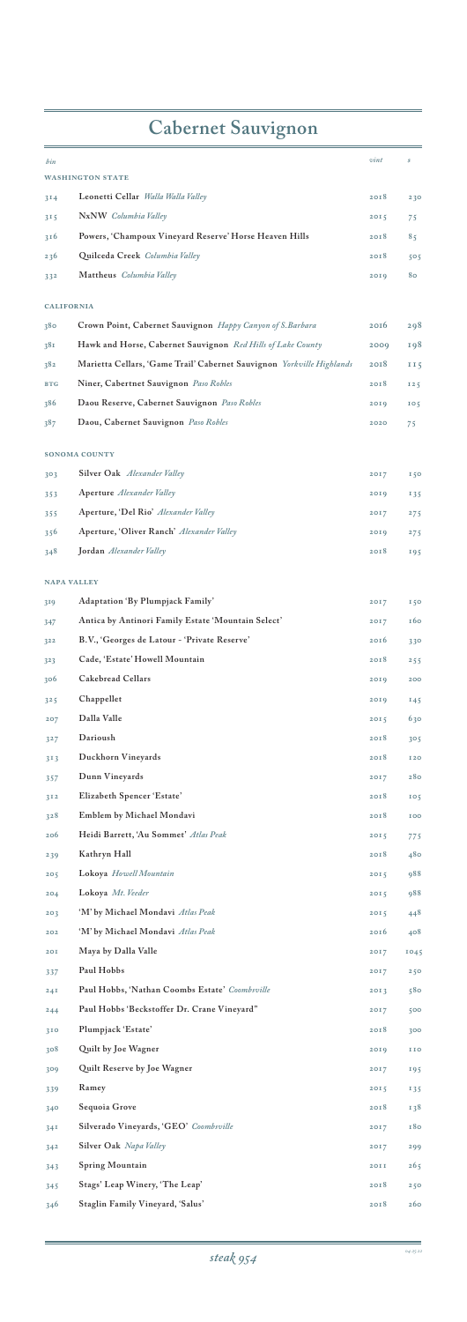

## **WASHINGTON STATE 314 Leonetti Cellar** *Walla Walla Valley* **2018 230 315 NxNW** *Columbia Valley* **2015 75 316 Powers, 'Champoux Vineyard Reserve' Horse Heaven Hills 2018 85 236 Quilceda Creek** *Columbia Valley* **2018 505 332 Mattheus** *Columbia Valley* **2019 80 California 380 Crown Point, Cabernet Sauvignon** *Happy Canyon of S.Barbara* **2016 298 381 Hawk and Horse, Cabernet Sauvignon** *Red Hills of Lake County* **2009 198 382 Marietta Cellars, 'Game Trail' Cabernet Sauvignon** *Yorkville Highlands* **2018 115** BTG **Niner, Cabertnet Sauvignon** *Paso Robles* **2018** 125 **386 Daou Reserve, Cabernet Sauvignon** *Paso Robles* **2019 105 387 Daou, Cabernet Sauvignon** *Paso Robles* **2020 75 SONOMA COUNTY 303 Silver Oak** *Alexander Valley* **2017 150 353 Aperture** *Alexander Valley* **2019 135 355 Aperture, 'Del Rio'** *Alexander Valley* **2017 275 356 Aperture, 'Oliver Ranch'** *Alexander Valley* **2019 275 348 Jordan** *Alexander Valley* **2018 195 NAPA VALLEY 319 Adaptation 'By Plumpjack Family' 2017 150 347 Antica by Antinori Family Estate 'Mountain Select' 2017 160 322 B.V., 'Georges de Latour - 'Private Reserve' 2016 330 323 Cade, 'Estate' Howell Mountain 2018 255 306 Cakebread Cellars 2019 200 325 Chappellet 2019 145 207 Dalla Valle 2015 630 327 Darioush 2018 305 313 Duckhorn Vineyards 2018 120 357 Dunn Vineyards 2017 280 312 Elizabeth Spencer 'Estate' 2018 105 328 Emblem by Michael Mondavi 2018 100 206 Heidi Barrett, 'Au Sommet'** *Atlas Peak* **2015 775 239 Kathryn Hall 2018 480 205 Lokoya** *Howell Mountain* **2015 988 204 Lokoya** *Mt. Veeder* **2015 988 203 'M' by Michael Mondavi** *Atlas Peak* **2015 448 202 'M' by Michael Mondavi** *Atlas Peak* **2016 408 201 Maya by Dalla Valle 2017 1045** *bin*  $\frac{1}{2}$  *s*

| 337             | Paul Hobbs                                     | 2017 | 250 |
|-----------------|------------------------------------------------|------|-----|
| 24I             | Paul Hobbs, 'Nathan Coombs Estate' Coombsville | 2013 | 580 |
| 244             | Paul Hobbs 'Beckstoffer Dr. Crane Vineyard"    | 2017 | 500 |
| 310             | Plumpjack 'Estate'                             | 2018 | 300 |
| 308             | Quilt by Joe Wagner                            | 2019 | IIO |
| 309             | Quilt Reserve by Joe Wagner                    | 2017 | 195 |
| 339             | Ramey                                          | 2015 | 135 |
| 340             | Sequoia Grove                                  | 2018 | 138 |
| 34 <sup>T</sup> | Silverado Vineyards, 'GEO' Coombsville         | 2017 | 180 |
| 342             | Silver Oak Napa Valley                         | 2017 | 299 |
| 343             | Spring Mountain                                | 20II | 265 |
| 345             | Stags' Leap Winery, 'The Leap'                 | 2018 | 250 |
| 346             | Staglin Family Vineyard, 'Salus'               | 2018 | 260 |

# **Cabernet Sauvignon**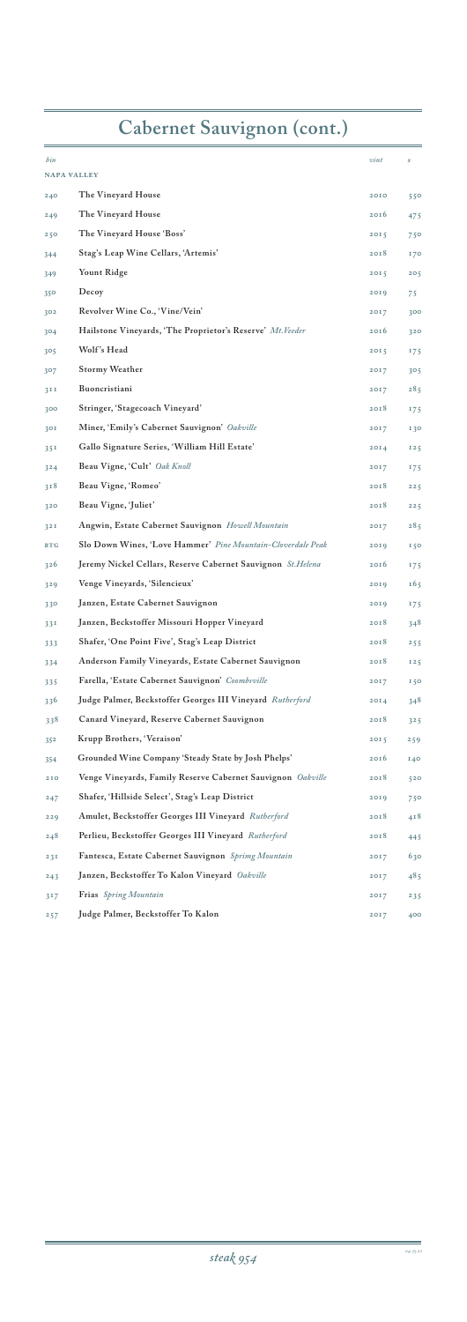## **NAPA VALLEY The Vineyard House 2010 550 The Vineyard House 2016 475 The Vineyard House 'Boss' 2015 750 Stag's Leap Wine Cellars, 'Artemis' 2018 170 Yount Ridge 2015 205 Decoy 2019 75 Revolver Wine Co., 'Vine/Vein' 2017 300 Hailstone Vineyards, 'The Proprietor's Reserve'** *Mt.Veeder* **2016 320 305 Wolf 's Head 2015 175 Stormy Weather 2017 305 Buoncristiani 2017 285 300 Stringer, 'Stagecoach Vineyard' 2018 175 Miner, 'Emily's Cabernet Sauvignon'** *Oakville* **2017 130 351 Gallo Signature Series, 'William Hill Estate' 2014 125 324 Beau Vigne, 'Cult'** *Oak Knoll* **2017 175 318 Beau Vigne, 'Romeo' 2018 225 Beau Vigne, 'Juliet' 2018 225 Angwin, Estate Cabernet Sauvignon** *Howell Mountain* **2017 285 BTG Slo Down Wines, 'Love Hammer'** *Pine Mountain-Cloverdale Peak* **2019 150 Jeremy Nickel Cellars, Reserve Cabernet Sauvignon** *St.Helena* **2016 175 Venge Vineyards, 'Silencieux' 2019 165 330 Janzen, Estate Cabernet Sauvignon 2019 175 331 Janzen, Beckstoffer Missouri Hopper Vineyard 2018 348 Shafer, 'One Point Five', Stag's Leap District 2018 255 334 Anderson Family Vineyards, Estate Cabernet Sauvignon 2018 125 335 Farella, 'Estate Cabernet Sauvignon'** *Coombsville* **2017 150 336 Judge Palmer, Beckstoffer Georges III Vineyard** *Rutherford* **2014 348 338 Canard Vineyard, Reserve Cabernet Sauvignon 2018 325 Krupp Brothers, 'Veraison' 2015 259 Grounded Wine Company 'Steady State by Josh Phelps' 2016 140 Venge Vineyards, Family Reserve Cabernet Sauvignon** *Oakville* **2018 520 Shafer, 'Hillside Select', Stag's Leap District 2019 750 Amulet, Beckstoffer Georges III Vineyard** *Rutherford* **2018 418 Perlieu, Beckstoffer Georges III Vineyard** *Rutherford* **2018 445 Fantesca, Estate Cabernet Sauvignon** *Sprimg Mountain* **2017 630 Janzen, Beckstoffer To Kalon Vineyard** *Oakville* **2017 485 Frias** *Spring Mountain* **2017 235 Judge Palmer, Beckstoffer To Kalon 2017 400** *bin s vint s*

## **Cabernet Sauvignon (cont.)**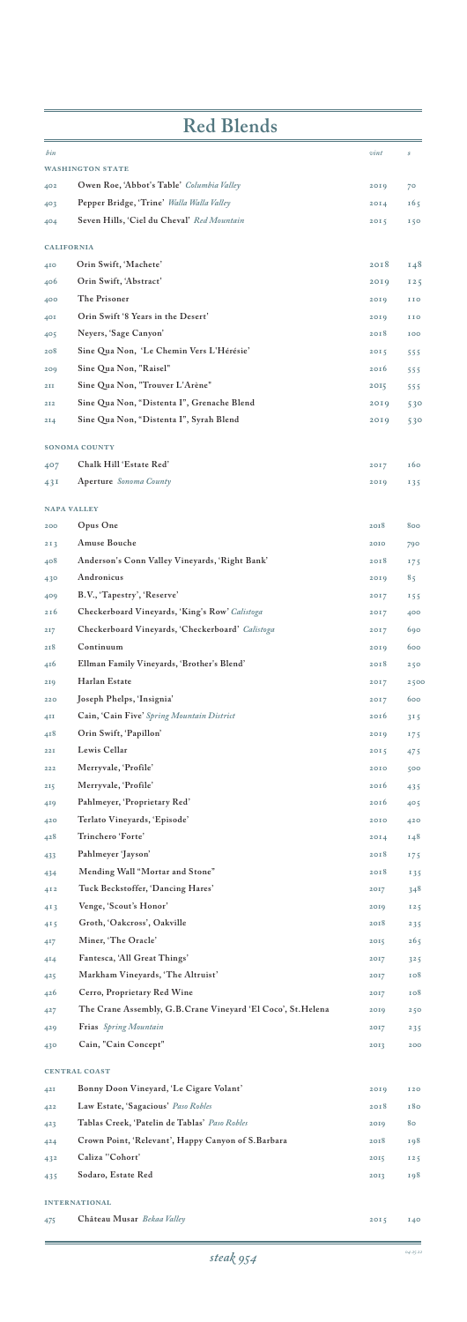|     | steak 954                                                   |      | 04.25.22   |
|-----|-------------------------------------------------------------|------|------------|
| 475 | Château Musar Bekaa Valley                                  | 2015 | 140        |
|     | <b>INTERNATIONAL</b>                                        |      |            |
| 435 | Sodaro, Estate Red                                          | 2013 | 198        |
| 432 | Caliza "Cohort'                                             | 2015 | 125        |
| 424 | Crown Point, 'Relevant', Happy Canyon of S. Barbara         | 2018 | 198        |
| 423 | Tablas Creek, 'Patelin de Tablas' Paso Robles               | 2019 | 80         |
| 422 | Law Estate, 'Sagacious' Paso Robles                         | 2018 | <b>180</b> |
| 42I | Bonny Doon Vineyard, 'Le Cigare Volant'                     | 2019 | <b>I20</b> |
|     | <b>CENTRAL COAST</b>                                        |      |            |
| 430 | Cain, "Cain Concept"                                        | 2013 | 200        |
| 429 | Frias Spring Mountain                                       | 2017 | 235        |
| 427 | The Crane Assembly, G.B.Crane Vineyard 'El Coco', St.Helena | 2019 | 250        |
| 426 | Cerro, Proprietary Red Wine                                 | 2017 | 108        |
| 425 | Markham Vineyards, 'The Altruist'                           | 2017 | <b>108</b> |

| <b>Red Blends</b> |                                                  |                  |            |
|-------------------|--------------------------------------------------|------------------|------------|
| bin               |                                                  | vint             | \$         |
|                   | <b>WASHINGTON STATE</b>                          |                  |            |
| 402               | Owen Roe, 'Abbot's Table' Columbia Valley        | 2019             | 70         |
| 403               | Pepper Bridge, 'Trine' Walla Walla Valley        | 20I4             | 165        |
| 404               | Seven Hills, 'Ciel du Cheval' Red Mountain       | 2015             | 150        |
|                   | <b>CALIFORNIA</b>                                |                  |            |
| 410               | Orin Swift, 'Machete'                            | 20I8             | 148        |
| 406               | Orin Swift, 'Abstract'                           | 2019             | 125        |
| 400               | The Prisoner                                     | 2019             | <b>IIO</b> |
| 401               | Orin Swift '8 Years in the Desert'               | 2019             | <b>IIO</b> |
| 405               | Neyers, 'Sage Canyon'                            | 20I8             | <b>IOO</b> |
| 208               | Sine Qua Non, 'Le Chemin Vers L'Hérésie'         | 2015             | 555        |
| 209               | Sine Qua Non, "Raisel"                           | 20Ib             | 555        |
| 2II               | Sine Qua Non, "Trouver L'Arène"                  | 2015             | 555        |
| 2T2               | Sine Qua Non, "Distenta I", Grenache Blend       | 20I9             | 530        |
| 2I <sub>4</sub>   | Sine Qua Non, "Distenta I", Syrah Blend          | 20I9             | 530        |
|                   | <b>SONOMA COUNTY</b>                             |                  |            |
| 407               | Chalk Hill 'Estate Red'                          | 2017             | 160        |
| 43I               | Aperture Sonoma County                           | 2019             | 135        |
|                   | <b>NAPA VALLEY</b>                               |                  |            |
| 200               | Opus One                                         | 2018             | 800        |
| 213               | <b>Amuse Bouche</b>                              | 2010             | 790        |
| 408               | Anderson's Conn Valley Vineyards, 'Right Bank'   | 2018             | 175        |
| 430               | Andronicus                                       | 2019             | 85         |
| 409               | B.V., 'Tapestry', 'Reserve'                      | 2017             | 155        |
| 216               | Checkerboard Vineyards, 'King's Row' Calistoga   | 2017             | 400        |
| 217               | Checkerboard Vineyards, 'Checkerboard' Calistoga | 2017             | 690        |
| 218               | Continuum                                        | 2019             | 600        |
| 416               | Ellman Family Vineyards, 'Brother's Blend'       | 2018             | 250        |
| 219               | Harlan Estate                                    | 2017             | 2500       |
| 220               | Joseph Phelps, 'Insignia'                        | 2017             | 600        |
| 4 <sup>II</sup>   | Cain, 'Cain Five' Spring Mountain District       | 20Ib             | $3^{15}$   |
| 418               | Orin Swift, 'Papillon'                           | 20I9             | 175        |
| 22I               | Lewis Cellar                                     | 2015             | 475        |
| 222               | Merryvale, 'Profile'                             | 2010             | 500        |
| 215               | Merryvale, 'Profile'                             | 2016             | 435        |
| 419               | Pahlmeyer, 'Proprietary Red'                     | 20I6             | 405        |
| 420               | Terlato Vineyards, 'Episode'                     | 2010             | 420        |
| 428               | Trinchero 'Forte'                                | 20I <sub>4</sub> | 148        |
| 433               | Pahlmeyer 'Jayson'                               | 20I8             | 175        |
| 434               | Mending Wall "Mortar and Stone"                  | 20I8             | 135        |
| 412               | Tuck Beckstoffer, 'Dancing Hares'                | 2017             | 348        |
| 4 <sub>13</sub>   | Venge, 'Scout's Honor'                           | 2019             | 125        |
| 415               | Groth, 'Oakcross', Oakville                      | 2018             | 235        |
| 417               | Miner, 'The Oracle'                              | 2015             | 265        |
| 414               | Fantesca, 'All Great Things'                     | 2017             | $3^{2}5$   |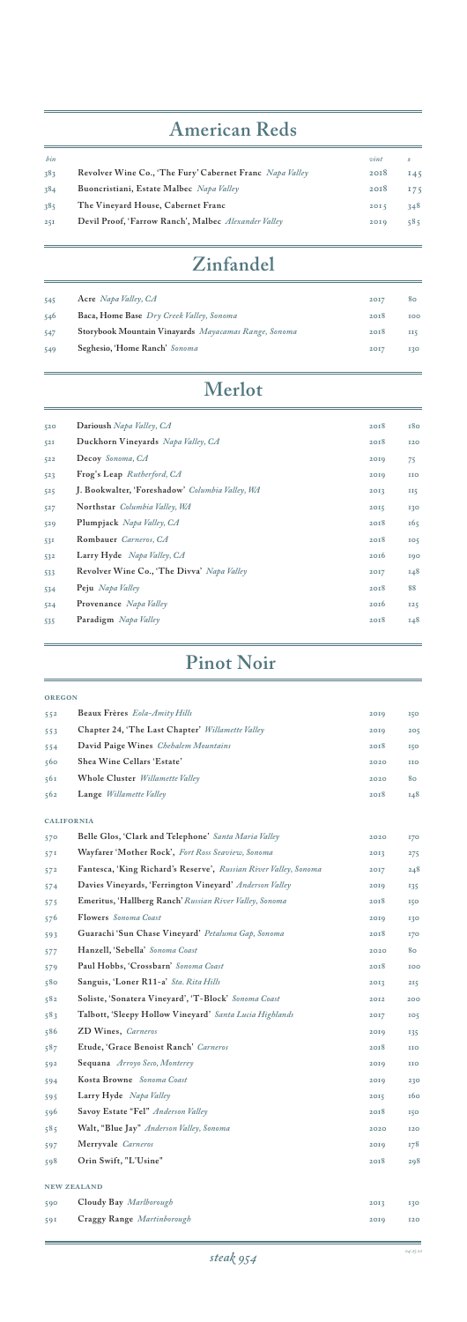| 520 | Darioush Napa Valley, CA                        | 2018 | 180             |
|-----|-------------------------------------------------|------|-----------------|
| 52I | Duckhorn Vineyards Napa Valley, CA              | 2018 | <b>I20</b>      |
| 522 | Decoy Sonoma, CA                                | 2019 | 75              |
| 523 | Frog's Leap Rutherford, CA                      | 2019 | IIO             |
| 525 | J. Bookwalter, 'Foreshadow' Columbia Valley, WA | 2013 | II5             |
| 527 | Northstar Columbia Valley, WA                   | 2015 | 130             |
| 529 | Plumpjack Napa Valley, CA                       | 2018 | 165             |
| 531 | Rombauer Carneros, CA                           | 2018 | IO <sub>5</sub> |
| 532 | Larry Hyde Napa Valley, CA                      | 2016 | 190             |
| 533 | Revolver Wine Co., 'The Divva' Napa Valley      | 2017 | 148             |
| 534 | Peju Napa Valley                                | 2018 | 88              |
| 524 | <b>Provenance</b> Napa Valley                   | 2016 | 125             |
| 535 | Paradigm Napa Valley                            | 2018 | 148             |
|     |                                                 |      |                 |

## **Merlot**

<u> 1980 - Johann Barbara, martxa a</u>

| <b>OREGON</b>     |                                                                  |      |            |
|-------------------|------------------------------------------------------------------|------|------------|
| 552               | Beaux Frères Eola-Amity Hills                                    | 2019 | <b>150</b> |
| 553               | Chapter 24, 'The Last Chapter' Willamette Valley                 | 2019 | 205        |
| 554               | David Paige Wines Chehalem Mountains                             | 2018 | 150        |
| 560               | Shea Wine Cellars 'Estate'                                       | 2020 | <b>IIO</b> |
| 561               | Whole Cluster Willamette Valley                                  | 2020 | 80         |
| 562               | Lange <i>Willamette Valley</i>                                   | 2018 | 148        |
| <b>CALIFORNIA</b> |                                                                  |      |            |
| 570               | Belle Glos, 'Clark and Telephone' Santa Maria Valley             | 2020 | <b>170</b> |
| 57 <sup>1</sup>   | Wayfarer 'Mother Rock', Fort Ross Seaview, Sonoma                | 2013 | 275        |
| 572               | Fantesca, 'King Richard's Reserve', Russian River Valley, Sonoma | 2017 | 248        |
| 574               | Davies Vineyards, 'Ferrington Vineyard' Anderson Valley          | 2019 | 135        |
| 575               | Emeritus, 'Hallberg Ranch' Russian River Valley, Sonoma          | 20I8 | 150        |
| 576               | <b>Flowers</b> Sonoma Coast                                      | 2019 | 130        |
| 593               | Guarachi 'Sun Chase Vineyard' Petaluma Gap, Sonoma               | 2018 | <b>170</b> |
| 577               | Hanzell, 'Sebella' Sonoma Coast                                  | 2020 | 80         |
| 579               | Paul Hobbs, 'Crossbarn' Sonoma Coast                             | 2018 | IOO        |

| 580 | Sanguis, 'Loner R11-a' Sta. Rita Hills                  | 2013 | 215             |
|-----|---------------------------------------------------------|------|-----------------|
| 582 | Soliste, 'Sonatera Vineyard', 'T-Block' Sonoma Coast    | 2012 | 200             |
| 583 | Talbott, 'Sleepy Hollow Vineyard' Santa Lucia Highlands | 2017 | IO <sub>5</sub> |
| 586 | ZD Wines, Carneros                                      | 2019 | 135             |
| 587 | Etude, 'Grace Benoist Ranch' Carneros                   | 2018 | IIO             |
| 592 | Sequana Arroyo Seco, Monterey                           | 2019 | IIO             |
| 594 | Kosta Browne Sonoma Coast                               | 2019 | 230             |
| 595 | Larry Hyde Napa Valley                                  | 2015 | 160             |
| 596 | Savoy Estate "Fel" Anderson Valley                      | 2018 | 150             |
| 585 | Walt, "Blue Jay" Anderson Valley, Sonoma                | 2020 | <b>I2O</b>      |
| 597 | Merryvale Carneros                                      | 2019 | 178             |
| 598 | Orin Swift, "L'Usine"                                   | 2018 | 298             |
|     | <b>NEW ZEALAND</b>                                      |      |                 |
| 590 | Cloudy Bay Marlborough                                  | 2013 | 130             |
| 591 | Craggy Range Martinborough                              | 2019 | <b>I2O</b>      |
|     |                                                         |      |                 |

## **Pinot Noir**

# **American Reds**

| bin |                                                          | vint | S.  |
|-----|----------------------------------------------------------|------|-----|
| 383 | Revolver Wine Co., 'The Fury' Cabernet Franc Napa Valley | 20I8 | 145 |
| 384 | Buoncristiani, Estate Malbec Napa Valley                 | 2018 | 175 |
| 385 | The Vineyard House, Cabernet Franc                       | 2015 | 348 |
| 25I | Devil Proof, 'Farrow Ranch', Malbec Alexander Valley     | 2019 | 585 |
|     |                                                          |      |     |

## **Zinfandel**

| 545 | Acre Napa Valley, CA                                 | 20I7 | 80         |
|-----|------------------------------------------------------|------|------------|
| 546 | Baca, Home Base Dry Creek Valley, Sonoma             | 20I8 | <b>100</b> |
| 547 | Storybook Mountain Vinayards Mayacamas Range, Sonoma | 20I8 | II5        |
| 549 | Seghesio, 'Home Ranch' Sonoma                        | 20I7 | 130        |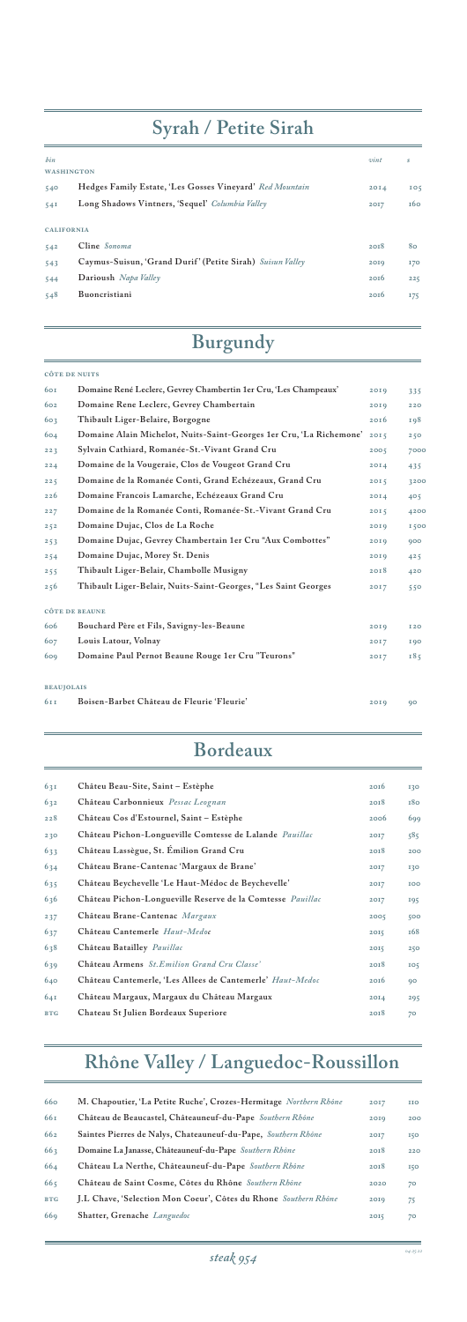| 640        | Château Cantemerle, 'Les Allees de Cantemerle' Haut-Medoc | 20I6             | 90  |
|------------|-----------------------------------------------------------|------------------|-----|
| 64I        | Château Margaux, Margaux du Château Margaux               | 20I <sub>A</sub> | 295 |
| <b>BTG</b> | Chateau St Julien Bordeaux Superiore                      | 2018             | 70  |

| 63I | Châteu Beau-Site, Saint - Estèphe                                 | 20I6 | 130             |
|-----|-------------------------------------------------------------------|------|-----------------|
| 632 | Château Carbonnieux Pessac Leognan                                | 20I8 | 180             |
| 228 | Château Cos d'Estournel, Saint – Estèphe                          | 2006 | 699             |
| 230 | Château Pichon-Longueville Comtesse de Lalande Pauillac           | 2017 | 585             |
| 633 | Château Lassègue, St. Emilion Grand Cru                           | 20I8 | 200             |
| 634 | Château Brane-Cantenac 'Margaux de Brane'                         | 2017 | 130             |
| 635 | Château Beychevelle 'Le Haut-Médoc de Beychevelle'                | 2017 | IOO             |
| 636 | Château Pichon-Longueville Reserve de la Comtesse <i>Pauillac</i> | 2017 | 195             |
| 237 | Château Brane-Cantenac Margaux                                    | 2005 | 500             |
| 637 | Château Cantemerle Haut-Medoc                                     | 2015 | <b>168</b>      |
| 638 | Château Batailley Pauillac                                        | 20I5 | 250             |
| 639 | Château Armens St. Emilion Grand Cru Classe'                      | 20I8 | IO <sub>5</sub> |

## **Bordeaux**

#### **Côte de Nuits**

| 60I               | Domaine René Leclerc, Gevrey Chambertin 1er Cru, 'Les Champeaux'    | 20I9 | 335        |
|-------------------|---------------------------------------------------------------------|------|------------|
| 602               | Domaine Rene Leclerc, Gevrey Chambertain                            | 2019 | 220        |
| 603               | Thibault Liger-Belaire, Borgogne                                    | 2016 | 198        |
| 604               | Domaine Alain Michelot, Nuits-Saint-Georges 1er Cru, 'La Richemone' | 2015 | 250        |
| 223               | Sylvain Cathiard, Romanée-St.-Vivant Grand Cru                      | 2005 | 7000       |
| 224               | Domaine de la Vougeraie, Clos de Vougeot Grand Cru                  | 20I4 | 435        |
| 225               | Domaine de la Romanée Conti, Grand Echézeaux, Grand Cru             | 2015 | 3200       |
| 226               | Domaine Francois Lamarche, Echézeaux Grand Cru                      | 2014 | 405        |
| 227               | Domaine de la Romanée Conti, Romanée-St.-Vivant Grand Cru           | 2015 | 4200       |
| 252               | Domaine Dujac, Clos de La Roche                                     | 2019 | 1500       |
| 253               | Domaine Dujac, Gevrey Chambertain 1er Cru "Aux Combottes"           | 2019 | 900        |
| 254               | Domaine Dujac, Morey St. Denis                                      | 2019 | 425        |
| 255               | Thibault Liger-Belair, Chambolle Musigny                            | 2018 | 420        |
| 256               | Thibault Liger-Belair, Nuits-Saint-Georges, "Les Saint Georges      | 2017 | 550        |
|                   | <b>CÔTE DE BEAUNE</b>                                               |      |            |
| 606               | Bouchard Père et Fils, Savigny-les-Beaune                           | 20I9 | <b>I20</b> |
| 607               | Louis Latour, Volnay                                                | 2017 | <b>190</b> |
| 609               | Domaine Paul Pernot Beaune Rouge 1er Cru "Teurons"                  | 2017 | 185        |
| <b>BEAUJOLAIS</b> |                                                                     |      |            |
| 611               | Boisen-Barbet Château de Fleurie 'Fleurie'                          | 20I9 | 90         |
|                   |                                                                     |      |            |

## **Burgundy**

| 660        | M. Chapoutier, 'La Petite Ruche', Crozes-Hermitage Northern Rhône | 20I7 | <b>IIO</b> |
|------------|-------------------------------------------------------------------|------|------------|
| 661        | Château de Beaucastel, Châteauneuf-du-Pape Southern Rhône         | 2019 | 200        |
| 662        | Saintes Pierres de Nalys, Chateauneuf-du-Pape, Southern Rhône     | 2017 | <b>150</b> |
| 663        | Domaine La Janasse, Châteauneuf-du-Pape Southern Rhône            | 2018 | 220        |
| 664        | Château La Nerthe, Châteauneuf-du-Pape Southern Rhône             | 2018 | <b>150</b> |
| 665        | Château de Saint Cosme, Côtes du Rhône Southern Rhône             | 2020 | 70         |
| <b>BTG</b> | J.L Chave, 'Selection Mon Coeur', Côtes du Rhone Southern Rhône   | 2019 | 75         |
| <b>669</b> | Shatter, Grenache Languedoc                                       | 2015 | 70         |
|            |                                                                   |      |            |

# **Rhône Valley / Languedoc-Roussillon**

| hin<br><b>WASHINGTON</b> |                                                                           | vint         | s               |  |  |  |
|--------------------------|---------------------------------------------------------------------------|--------------|-----------------|--|--|--|
| 540                      | Hedges Family Estate, 'Les Gosses Vineyard' Red Mountain                  | 20I4         | IO <sub>5</sub> |  |  |  |
| 54I                      | Long Shadows Vintners, 'Sequel' Columbia Valley                           | 2017         | 160             |  |  |  |
|                          | <b>CALIFORNIA</b>                                                         |              |                 |  |  |  |
| 542<br>543               | Cline Sonoma<br>Caymus-Suisun, 'Grand Durif' (Petite Sirah) Suisun Valley | 2018<br>2019 | 80<br>170       |  |  |  |
| 544                      | Darioush Napa Valley                                                      | 20I6         | 225             |  |  |  |
| 548                      | Buoncristiani                                                             | 20I6         | 175             |  |  |  |

# **Syrah / Petite Sirah**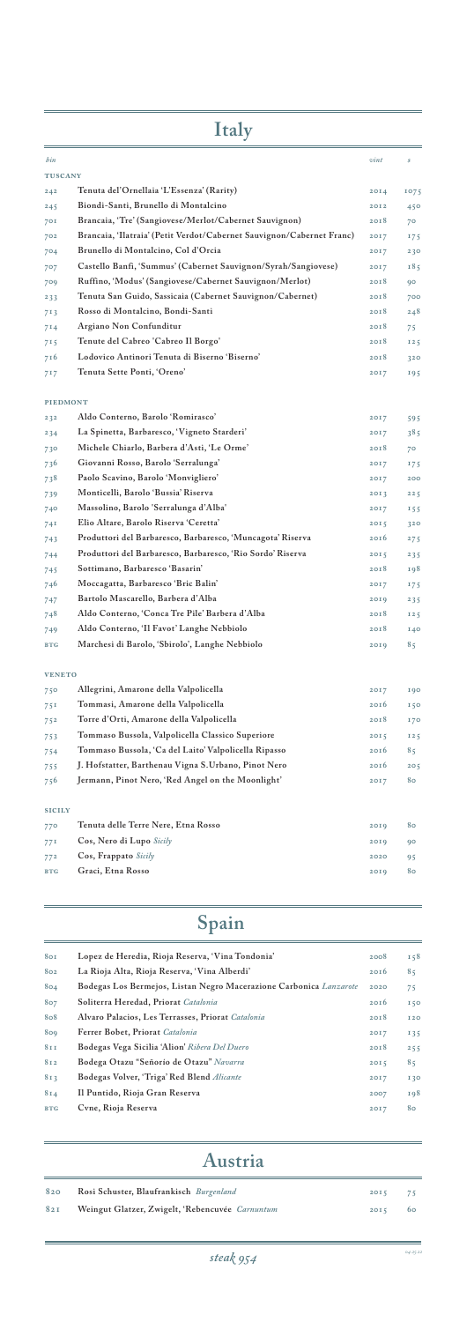| 80I | Lopez de Heredia, Rioja Reserva, 'Vina Tondonia' | 2008 158 |  |
|-----|--------------------------------------------------|----------|--|
|     | son La Dinie Alta Dinie Deseguys Wine Alberti'   | 221      |  |

| 802             | La Rioja Alta, Rioja Reserva, Vina Alberdi                         | 20Ib | 85         |
|-----------------|--------------------------------------------------------------------|------|------------|
| 804             | Bodegas Los Bermejos, Listan Negro Macerazione Carbonica Lanzarote | 2020 | 75         |
| 807             | Soliterra Heredad, Priorat Catalonia                               | 20I6 | <b>150</b> |
| 808             | Alvaro Palacios, Les Terrasses, Priorat Catalonia                  | 20I8 | <b>I20</b> |
| 809             | Ferrer Bobet, Priorat Catalonia                                    | 2017 | 135        |
| 8I <sub>I</sub> | Bodegas Vega Sicilia 'Alion' Ribera Del Duero                      | 20I8 | 255        |
| 812             | Bodega Otazu "Señorío de Otazu" Navarra                            | 2015 | 85         |
| 813             | Bodegas Volver, 'Triga' Red Blend Alicante                         | 20I7 | <b>130</b> |
| 814             | Il Puntido, Rioja Gran Reserva                                     | 2007 | 198        |
| <b>BTG</b>      | Cvne, Rioja Reserva                                                | 2017 | 80         |
|                 |                                                                    |      |            |

# **Spain**

| 820 | Rosi Schuster, Blaufrankisch Burgenland         | $2015$ 75 |  |
|-----|-------------------------------------------------|-----------|--|
| 82I | Weingut Glatzer, Zwigelt, 'Rebencuvée Carnuntum | $2015$ 60 |  |

## **Austria**

| <b>Italy</b>    |                                                                       |                  |            |
|-----------------|-----------------------------------------------------------------------|------------------|------------|
| bin             |                                                                       | vint             | \$         |
| <b>TUSCANY</b>  |                                                                       |                  |            |
| 242             | Tenuta del'Ornellaia 'L'Essenza' (Rarity)                             | 20I <sub>4</sub> | 1075       |
| 245             | Biondi-Santi, Brunello di Montalcino                                  | 2012             | 450        |
| 70I             | Brancaia, 'Tre' (Sangiovese/Merlot/Cabernet Sauvignon)                | 2018             | 70         |
| 702             | Brancaia, 'Ilatraia' (Petit Verdot/Cabernet Sauvignon/Cabernet Franc) | 2017             | 175        |
| 704             | Brunello di Montalcino, Col d'Orcia                                   | 2017             | 230        |
| 707             | Castello Banfi, 'Summus' (Cabernet Sauvignon/Syrah/Sangiovese)        | 2017             | 185        |
| 709             | Ruffino, 'Modus' (Sangiovese/Cabernet Sauvignon/Merlot)               | 2018             | 90         |
| 233             | Tenuta San Guido, Sassicaia (Cabernet Sauvignon/Cabernet)             | 2018             | 700        |
| 713             | Rosso di Montalcino, Bondi-Santi                                      | 2018             | 248        |
| 714             | Argiano Non Confunditur                                               | 2018             | 75         |
| 715             | Tenute del Cabreo 'Cabreo Il Borgo'                                   | 2018             | 125        |
| 716             | Lodovico Antinori Tenuta di Biserno 'Biserno'                         | 20I8             | 320        |
| 717             | Tenuta Sette Ponti, 'Oreno'                                           | 2017             | 195        |
| <b>PIEDMONT</b> |                                                                       |                  |            |
| 232             | Aldo Conterno, Barolo 'Romirasco'                                     | 2017             | 595        |
| 234             | La Spinetta, Barbaresco, 'Vigneto Starderi'                           | 2017             | 385        |
| 730             | Michele Chiarlo, Barbera d'Asti, 'Le Orme'                            | 20I8             | 70         |
| 736             | Giovanni Rosso, Barolo 'Serralunga'                                   | 2017             | 175        |
| 738             | Paolo Scavino, Barolo 'Monvigliero'                                   | 2017             | 200        |
| 739             | Monticelli, Barolo 'Bussia' Riserva                                   | 2013             | 225        |
| 740             | Massolino, Barolo 'Serralunga d'Alba'                                 | 2017             | 155        |
| 74I             | Elio Altare, Barolo Riserva 'Ceretta'                                 | 2015             | 320        |
| 743             | Produttori del Barbaresco, Barbaresco, 'Muncagota' Riserva            | 2016             | 275        |
| 744             | Produttori del Barbaresco, Barbaresco, 'Rio Sordo' Riserva            | 2015             | 235        |
| 745             | Sottimano, Barbaresco 'Basarin'                                       | 2018             | 198        |
| 746             | Moccagatta, Barbaresco 'Bric Balin'                                   | 2017             | 175        |
| 747             | Bartolo Mascarello, Barbera d'Alba                                    | 2019             | 235        |
| 748             | Aldo Conterno, 'Conca Tre Pile' Barbera d'Alba                        | 2018             | 125        |
| 749             | Aldo Conterno, 'Il Favot' Langhe Nebbiolo                             | 2018             | 140        |
| <b>BTG</b>      | Marchesi di Barolo, 'Sbirolo', Langhe Nebbiolo                        | 2019             | 85         |
| <b>VENETO</b>   |                                                                       |                  |            |
| 750             | Allegrini, Amarone della Valpolicella                                 | 2017             | <b>190</b> |
| 751             | Tommasi, Amarone della Valpolicella                                   | 20Ib             | 150        |
| 752             | Torre d'Orti, Amarone della Valpolicella                              | 2018             | 170        |
| 753             | Tommaso Bussola, Valpolicella Classico Superiore                      | 2015             | 125        |
| 754             | Tommaso Bussola, 'Ca del Laito' Valpolicella Ripasso                  | 20I6             | 85         |
| 755             | J. Hofstatter, Barthenau Vigna S.Urbano, Pinot Nero                   | 20I6             | 205        |
| 756             | Jermann, Pinot Nero, 'Red Angel on the Moonlight'                     | 2017             | 80         |
| <b>SICILY</b>   |                                                                       |                  |            |
|                 |                                                                       |                  |            |

| 770        | Tenuta delle Terre Nere, Etna Rosso | 2019 | 80 |
|------------|-------------------------------------|------|----|
| 77I        | Cos, Nero di Lupo Sicily            | 2019 | 90 |
| 772        | Cos, Frappato Sicily                | 2020 | 95 |
| <b>BTG</b> | Graci, Etna Rosso                   | 2019 | 80 |
|            |                                     |      |    |